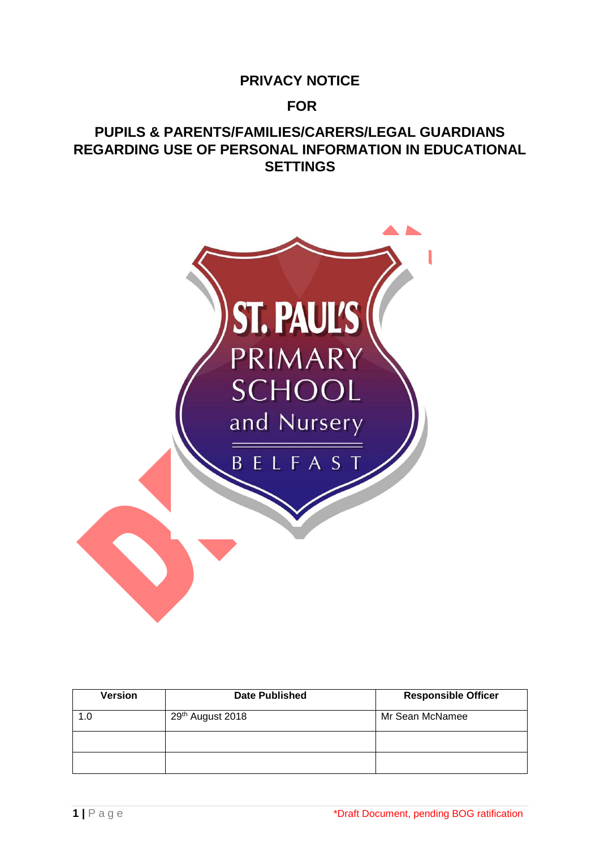# **PRIVACY NOTICE**

# **FOR**

# **PUPILS & PARENTS/FAMILIES/CARERS/LEGAL GUARDIANS REGARDING USE OF PERSONAL INFORMATION IN EDUCATIONAL SETTINGS**



| <b>Version</b> | <b>Date Published</b> | <b>Responsible Officer</b> |
|----------------|-----------------------|----------------------------|
| 1.0            | 29th August 2018      | Mr Sean McNamee            |
|                |                       |                            |
|                |                       |                            |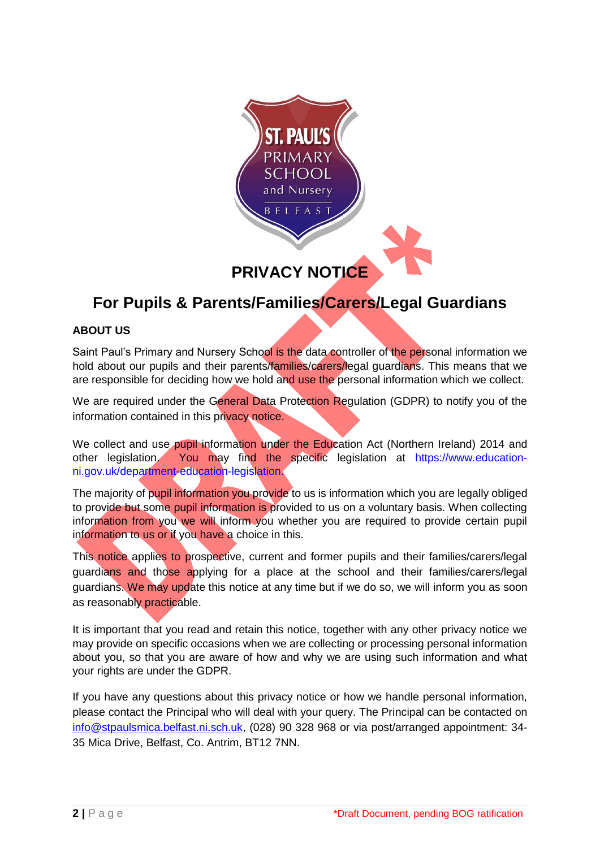

# **For Pupils & Parents/Families/Carers/Legal Guardians**

# **ABOUT US**

Saint Paul's Primary and Nursery School is the data controller of the personal information we hold about our pupils and their parents/families/carers/legal guardians. This means that we are responsible for deciding how we hold and use the personal information which we collect.

We are required under the General Data Protection Regulation (GDPR) to notify you of the information contained in this privacy notice.

We collect and use pupil information under the Education Act (Northern Ireland) 2014 and other legislation. You may find the specific legislation at https://www.educationni.gov.uk/department-education-legislation.

The majority of pupil information you provide to us is information which you are legally obliged to provide but some pupil information is provided to us on a voluntary basis. When collecting information from you we will inform you whether you are required to provide certain pupil information to us or if you have a choice in this.

This notice applies to prospective, current and former pupils and their families/carers/legal guardians and those applying for a place at the school and their families/carers/legal guardians. We may update this notice at any time but if we do so, we will inform you as soon as reasonably practicable.

It is important that you read and retain this notice, together with any other privacy notice we may provide on specific occasions when we are collecting or processing personal information about you, so that you are aware of how and why we are using such information and what your rights are under the GDPR.

If you have any questions about this privacy notice or how we handle personal information, please contact the Principal who will deal with your query. The Principal can be contacted on [info@stpaulsmica.belfast.ni.sch.uk,](mailto:smcnamee381@stpaulsmica.belfast.ni.sch.uk) (028) 90 328 968 or via post/arranged appointment: 34- 35 Mica Drive, Belfast, Co. Antrim, BT12 7NN.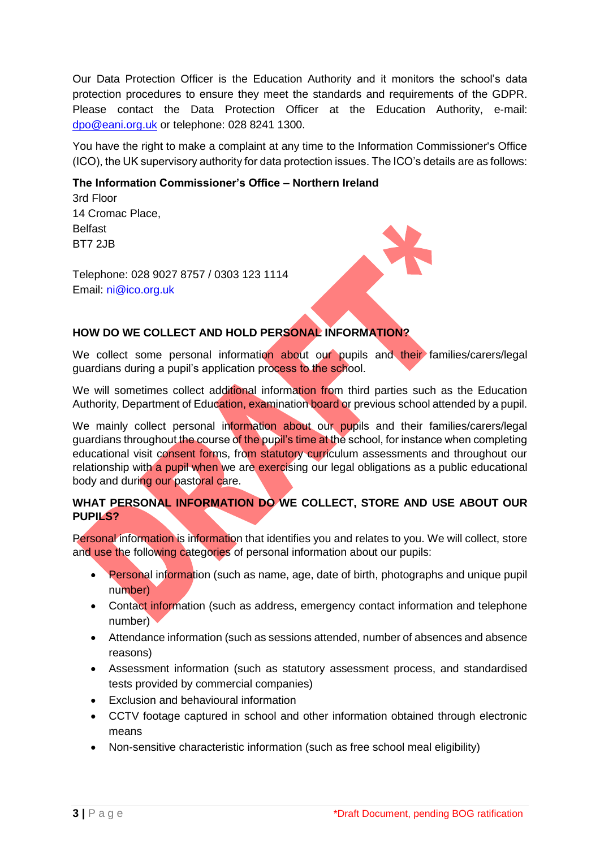Our Data Protection Officer is the Education Authority and it monitors the school's data protection procedures to ensure they meet the standards and requirements of the GDPR. Please contact the Data Protection Officer at the Education Authority, e-mail: [dpo@eani.org.uk](mailto:dpo@eani.org.uk) or telephone: 028 8241 1300.

You have the right to make a complaint at any time to the Information Commissioner's Office (ICO), the UK supervisory authority for data protection issues. The ICO's details are as follows:

### **The Information Commissioner's Office – Northern Ireland**

3rd Floor 14 Cromac Place, Belfast BT7 2JB

Telephone: 028 9027 8757 / 0303 123 1114 Email: ni@ico.org.uk

# **HOW DO WE COLLECT AND HOLD PERSONAL INFORMATION?**

We collect some personal information about our pupils and their families/carers/legal guardians during a pupil's application process to the school.

We will sometimes collect additional information from third parties such as the Education Authority, Department of Education, examination board or previous school attended by a pupil.

We mainly collect personal information about our pupils and their families/carers/legal guardians throughout the course of the pupil's time at the school, for instance when completing educational visit consent forms, from statutory curriculum assessments and throughout our relationship with a pupil when we are exercising our legal obligations as a public educational body and during our pastoral care.

# **WHAT PERSONAL INFORMATION DO WE COLLECT, STORE AND USE ABOUT OUR PUPILS?**

Personal information is information that identifies you and relates to you. We will collect, store and use the following categories of personal information about our pupils:

- Personal information (such as name, age, date of birth, photographs and unique pupil number)
- Contact information (such as address, emergency contact information and telephone number)
- Attendance information (such as sessions attended, number of absences and absence reasons)
- Assessment information (such as statutory assessment process, and standardised tests provided by commercial companies)
- Exclusion and behavioural information
- CCTV footage captured in school and other information obtained through electronic means
- Non-sensitive characteristic information (such as free school meal eligibility)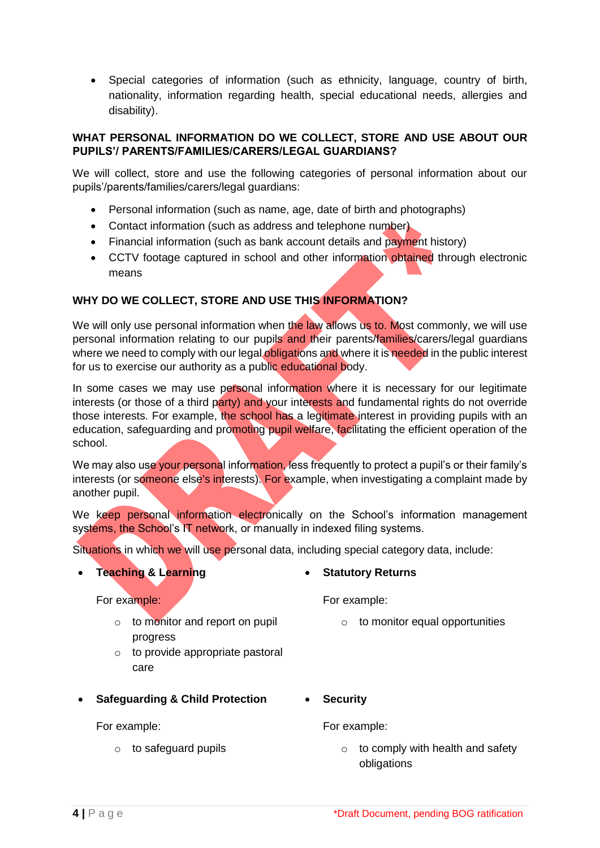• Special categories of information (such as ethnicity, language, country of birth, nationality, information regarding health, special educational needs, allergies and disability).

#### **WHAT PERSONAL INFORMATION DO WE COLLECT, STORE AND USE ABOUT OUR PUPILS'/ PARENTS/FAMILIES/CARERS/LEGAL GUARDIANS?**

We will collect, store and use the following categories of personal information about our pupils'/parents/families/carers/legal guardians:

- Personal information (such as name, age, date of birth and photographs)
- Contact information (such as address and telephone number)
- Financial information (such as bank account details and payment history)
- CCTV footage captured in school and other information obtained through electronic means

# **WHY DO WE COLLECT, STORE AND USE THIS INFORMATION?**

We will only use personal information when the law allows us to. Most commonly, we will use personal information relating to our pupils and their parents/families/carers/legal guardians where we need to comply with our legal obligations and where it is needed in the public interest for us to exercise our authority as a public educational body.

In some cases we may use personal information where it is necessary for our legitimate interests (or those of a third party) and your interests and fundamental rights do not override those interests. For example, the school has a legitimate interest in providing pupils with an education, safeguarding and promoting pupil welfare, facilitating the efficient operation of the school.

We may also use your personal information, less frequently to protect a pupil's or their family's interests (or someone else's interests). For example, when investigating a complaint made by another pupil.

We keep personal information electronically on the School's information management systems, the School's IT network, or manually in indexed filing systems.

Situations in which we will use personal data, including special category data, include:

# • **Teaching & Learning**

For example:

- o to monitor and report on pupil progress
- $\circ$  to provide appropriate pastoral care
- **Safeguarding & Child Protection**

#### For example:

o to safeguard pupils

# • **Statutory Returns**

For example:

- o to monitor equal opportunities
- **Security**

For example:

 $\circ$  to comply with health and safety obligations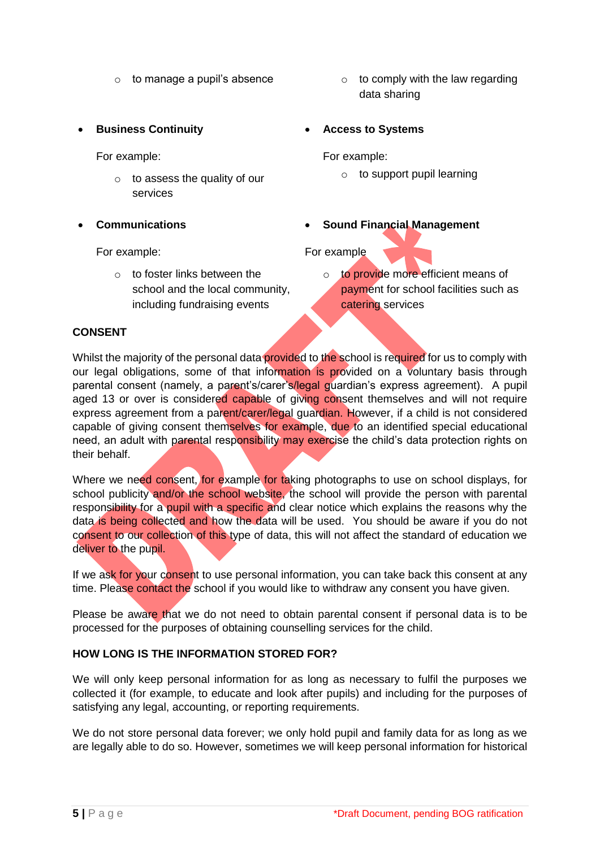- 
- **Business Continuity**

For example:

- $\circ$  to assess the quality of our services
- **Communications**

#### For example:

 $\circ$  to foster links between the school and the local community, including fundraising events

- $\circ$  to manage a pupil's absence  $\circ$  to comply with the law regarding data sharing
	- **Access to Systems**

For example:

- o to support pupil learning
- **Sound Financial Management**

# For example

o to provide more efficient means of payment for school facilities such as catering services

# **CONSENT**

Whilst the majority of the personal data provided to the school is required for us to comply with our legal obligations, some of that information is provided on a voluntary basis through parental consent (namely, a parent's/carer's/legal guardian's express agreement). A pupil aged 13 or over is considered capable of giving consent themselves and will not require express agreement from a parent/carer/legal guardian. However, if a child is not considered capable of giving consent themselves for example, due to an identified special educational need, an adult with parental responsibility may exercise the child's data protection rights on their behalf.

Where we need consent, for example for taking photographs to use on school displays, for school publicity and/or the school website, the school will provide the person with parental responsibility for a pupil with a specific and clear notice which explains the reasons why the data is being collected and how the data will be used. You should be aware if you do not consent to our collection of this type of data, this will not affect the standard of education we deliver to the pupil.

If we ask for your consent to use personal information, you can take back this consent at any time. Please contact the school if you would like to withdraw any consent you have given.

Please be aware that we do not need to obtain parental consent if personal data is to be processed for the purposes of obtaining counselling services for the child.

# **HOW LONG IS THE INFORMATION STORED FOR?**

We will only keep personal information for as long as necessary to fulfil the purposes we collected it (for example, to educate and look after pupils) and including for the purposes of satisfying any legal, accounting, or reporting requirements.

We do not store personal data forever; we only hold pupil and family data for as long as we are legally able to do so. However, sometimes we will keep personal information for historical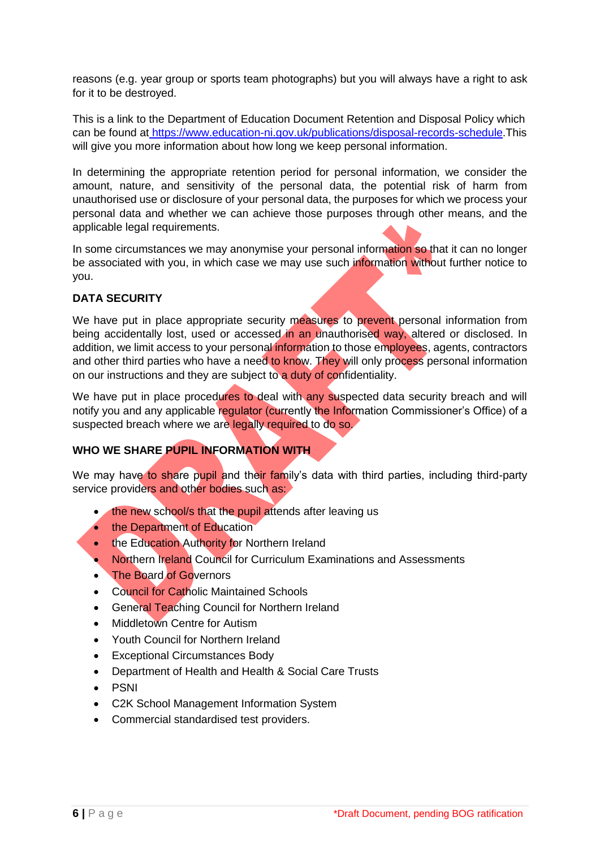reasons (e.g. year group or sports team photographs) but you will always have a right to ask for it to be destroyed.

This is a link to the Department of Education Document Retention and Disposal Policy which can be found at [https://www.education-ni.gov.uk/publications/disposal-records-schedule.](https://www.education-ni.gov.uk/publications/disposal-records-schedule)This will give you more information about how long we keep personal information.

In determining the appropriate retention period for personal information, we consider the amount, nature, and sensitivity of the personal data, the potential risk of harm from unauthorised use or disclosure of your personal data, the purposes for which we process your personal data and whether we can achieve those purposes through other means, and the applicable legal requirements.

In some circumstances we may anonymise your personal information so that it can no longer be associated with you, in which case we may use such information without further notice to you.

# **DATA SECURITY**

We have put in place appropriate security measures to prevent personal information from being accidentally lost, used or accessed in an unauthorised way, altered or disclosed. In addition, we limit access to your personal information to those employees, agents, contractors and other third parties who have a need to know. They will only process personal information on our instructions and they are subject to a duty of confidentiality.

We have put in place procedures to deal with any suspected data security breach and will notify you and any applicable regulator (currently the Information Commissioner's Office) of a suspected breach where we are legally required to do so.

# **WHO WE SHARE PUPIL INFORMATION WITH**

We may have to share pupil and their family's data with third parties, including third-party service providers and other bodies such as:

- the new school/s that the pupil attends after leaving us
- the Department of Education
- the Education Authority for Northern Ireland
- Northern Ireland Council for Curriculum Examinations and Assessments
- **The Board of Governors**
- Council for Catholic Maintained Schools
- General Teaching Council for Northern Ireland
- **Middletown Centre for Autism**
- Youth Council for Northern Ireland
- Exceptional Circumstances Body
- Department of Health and Health & Social Care Trusts
- PSNI
- C2K School Management Information System
- Commercial standardised test providers.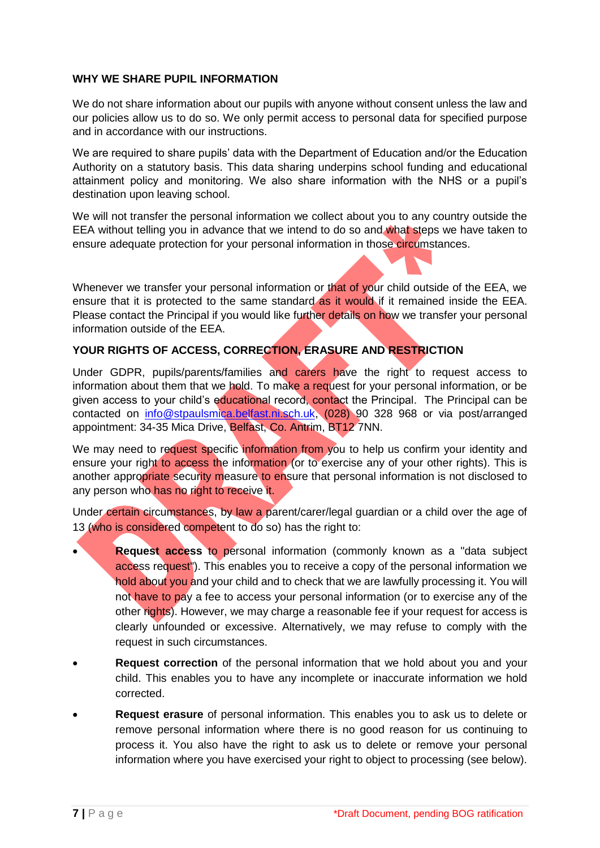#### **WHY WE SHARE PUPIL INFORMATION**

We do not share information about our pupils with anyone without consent unless the law and our policies allow us to do so. We only permit access to personal data for specified purpose and in accordance with our instructions.

We are required to share pupils' data with the Department of Education and/or the Education Authority on a statutory basis. This data sharing underpins school funding and educational attainment policy and monitoring. We also share information with the NHS or a pupil's destination upon leaving school.

We will not transfer the personal information we collect about you to any country outside the EEA without telling you in advance that we intend to do so and what steps we have taken to ensure adequate protection for your personal information in those circumstances.

Whenever we transfer your personal information or that of your child outside of the EEA, we ensure that it is protected to the same standard as it would if it remained inside the EEA. Please contact the Principal if you would like further details on how we transfer your personal information outside of the EEA.

# **YOUR RIGHTS OF ACCESS, CORRECTION, ERASURE AND RESTRICTION**

Under GDPR, pupils/parents/families and carers have the right to request access to information about them that we hold. To make a request for your personal information, or be given access to your child's educational record, contact the Principal. The Principal can be contacted on [info@stpaulsmica.belfast.ni.sch.uk,](mailto:smcnamee381@stpaulsmica.belfast.ni.sch.uk) (028) 90 328 968 or via post/arranged appointment: 34-35 Mica Drive, Belfast, Co. Antrim, BT12 7NN.

We may need to request specific information from you to help us confirm your identity and ensure your right to access the information (or to exercise any of your other rights). This is another appropriate security measure to ensure that personal information is not disclosed to any person who has no right to receive it.

Under certain circumstances, by law a parent/carer/legal guardian or a child over the age of 13 (who is considered competent to do so) has the right to:

- **Request access** to personal information (commonly known as a "data subject access request<sup>"</sup>). This enables you to receive a copy of the personal information we hold about you and your child and to check that we are lawfully processing it. You will not have to pay a fee to access your personal information (or to exercise any of the other rights). However, we may charge a reasonable fee if your request for access is clearly unfounded or excessive. Alternatively, we may refuse to comply with the request in such circumstances.
- **Request correction** of the personal information that we hold about you and your child. This enables you to have any incomplete or inaccurate information we hold corrected.
- **Request erasure** of personal information. This enables you to ask us to delete or remove personal information where there is no good reason for us continuing to process it. You also have the right to ask us to delete or remove your personal information where you have exercised your right to object to processing (see below).